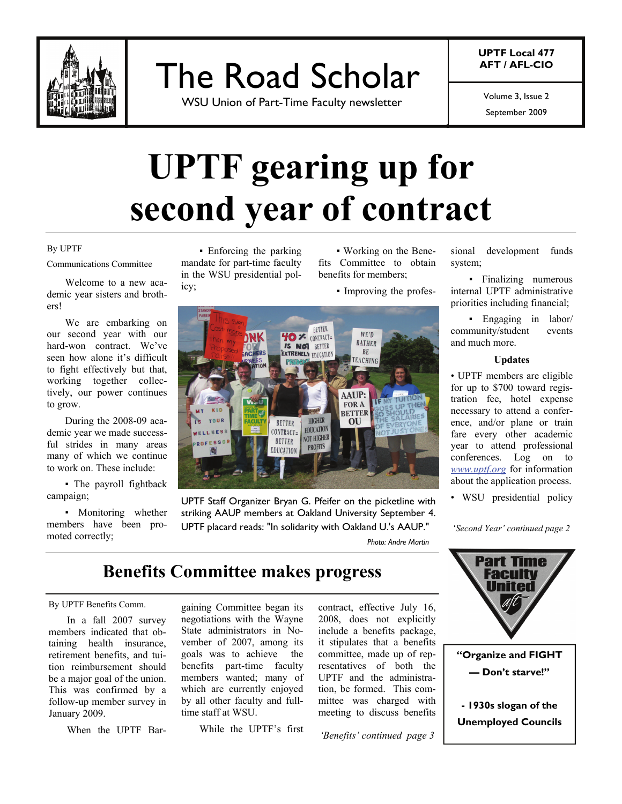

The Road Scholar

WSU Union of Part-Time Faculty newsletter

**UPTF Local 477 AFT / AFL-CIO** 

Volume 3, Issue 2

September 2009

# **UPTF gearing up for second year of contract**

#### By UPTF

Communications Committee

 Welcome to a new academic year sisters and brothers!

 We are embarking on our second year with our hard-won contract. We've seen how alone it's difficult to fight effectively but that, working together collectively, our power continues to grow.

 During the 2008-09 academic year we made successful strides in many areas many of which we continue to work on. These include:

▪ The payroll fightback campaign;

▪ Monitoring whether members have been promoted correctly;

▪ Enforcing the parking mandate for part-time faculty in the WSU presidential policy;

▪ Working on the Benefits Committee to obtain benefits for members;

▪ Improving the profes-



UPTF Staff Organizer Bryan G. Pfeifer on the picketline with striking AAUP members at Oakland University September 4. UPTF placard reads: "In solidarity with Oakland U.'s AAUP."

*Photo: Andre Martin*

### **Benefits Committee makes progress**

#### By UPTF Benefits Comm.

 In a fall 2007 survey members indicated that obtaining health insurance, retirement benefits, and tuition reimbursement should be a major goal of the union. This was confirmed by a follow-up member survey in January 2009.

When the UPTF Bar-

gaining Committee began its negotiations with the Wayne State administrators in November of 2007, among its goals was to achieve the benefits part-time faculty members wanted; many of which are currently enjoyed by all other faculty and fulltime staff at WSU.

While the UPTF's first

contract, effective July 16, 2008, does not explicitly include a benefits package, it stipulates that a benefits committee, made up of representatives of both the UPTF and the administration, be formed. This committee was charged with meeting to discuss benefits

*'Benefits' continued page 3* 

sional development funds system;

▪ Finalizing numerous internal UPTF administrative priorities including financial;

▪ Engaging in labor/ community/student events and much more.

#### **Updates**

• UPTF members are eligible for up to \$700 toward registration fee, hotel expense necessary to attend a conference, and/or plane or train fare every other academic year to attend professional conferences. Log on to *www.uptf.org* for information about the application process.

• WSU presidential policy

'*Second Year' continued page 2* 

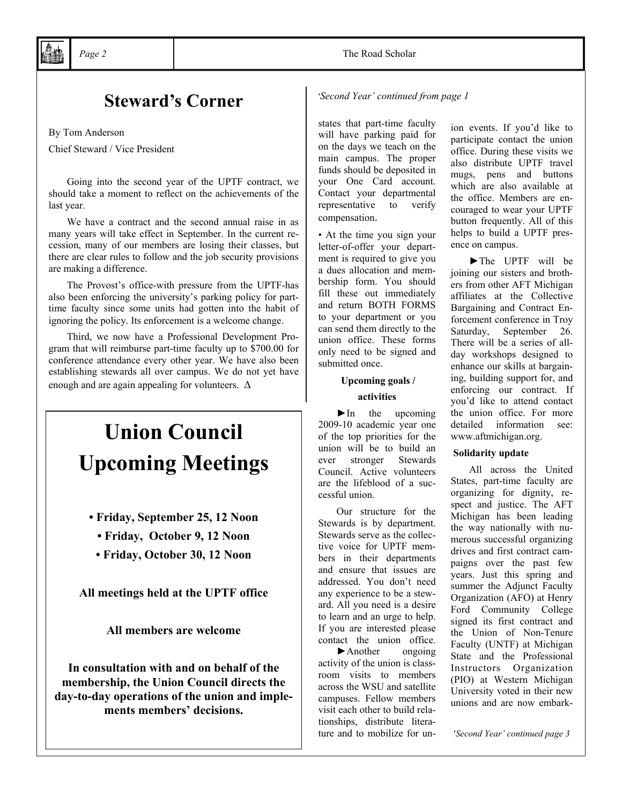## **Steward's Corner**

By Tom Anderson

Chief Steward / Vice President

 Going into the second year of the UPTF contract, we should take a moment to reflect on the achievements of the last year.

 We have a contract and the second annual raise in as many years will take effect in September. In the current recession, many of our members are losing their classes, but there are clear rules to follow and the job security provisions are making a difference.

 The Provost's office-with pressure from the UPTF-has also been enforcing the university's parking policy for parttime faculty since some units had gotten into the habit of ignoring the policy. Its enforcement is a welcome change.

 Third, we now have a Professional Development Program that will reimburse part-time faculty up to \$700.00 for conference attendance every other year. We have also been establishing stewards all over campus. We do not yet have enough and are again appealing for volunteers. **∆**

# **Union Council Upcoming Meetings**

- **Friday, September 25, 12 Noon** 
	- **Friday, October 9, 12 Noon**
	- **Friday, October 30, 12 Noon**

**All meetings held at the UPTF office** 

**All members are welcome** 

**In consultation with and on behalf of the membership, the Union Council directs the day-to-day operations of the union and implements members' decisions.** 

'*Second Year' continued from page 1*

states that part-time faculty will have parking paid for on the days we teach on the main campus. The proper funds should be deposited in your One Card account. Contact your departmental representative to verify compensation.

• At the time you sign your letter-of-offer your department is required to give you a dues allocation and membership form. You should fill these out immediately and return BOTH FORMS to your department or you can send them directly to the union office. These forms only need to be signed and submitted once.

#### **Upcoming goals /**

#### **activities**

 $\blacktriangleright$  In the upcoming 2009-10 academic year one of the top priorities for the union will be to build an ever stronger Stewards Council. Active volunteers are the lifeblood of a successful union.

 Our structure for the Stewards is by department. Stewards serve as the collective voice for UPTF members in their departments and ensure that issues are addressed. You don't need any experience to be a steward. All you need is a desire to learn and an urge to help. If you are interested please contact the union office. ►Another ongoing activity of the union is classroom visits to members across the WSU and satellite campuses. Fellow members visit each other to build relationships, distribute literature and to mobilize for un-

ion events. If you'd like to participate contact the union office. During these visits we also distribute UPTF travel mugs, pens and buttons which are also available at the office. Members are encouraged to wear your UPTF button frequently. All of this helps to build a UPTF presence on campus.

►The UPTF will be joining our sisters and brothers from other AFT Michigan affiliates at the Collective Bargaining and Contract Enforcement conference in Troy Saturday, September 26. There will be a series of allday workshops designed to enhance our skills at bargaining, building support for, and enforcing our contract. If you'd like to attend contact the union office. For more detailed information see: www.aftmichigan.org.

#### **Solidarity update**

All across the United States, part-time faculty are organizing for dignity, respect and justice. The AFT Michigan has been leading the way nationally with numerous successful organizing drives and first contract campaigns over the past few years. Just this spring and summer the Adjunct Faculty Organization (AFO) at Henry Ford Community College signed its first contract and the Union of Non-Tenure Faculty (UNTF) at Michigan State and the Professional Instructors Organization (PIO) at Western Michigan University voted in their new unions and are now embark-

'*Second Year' continued page 3*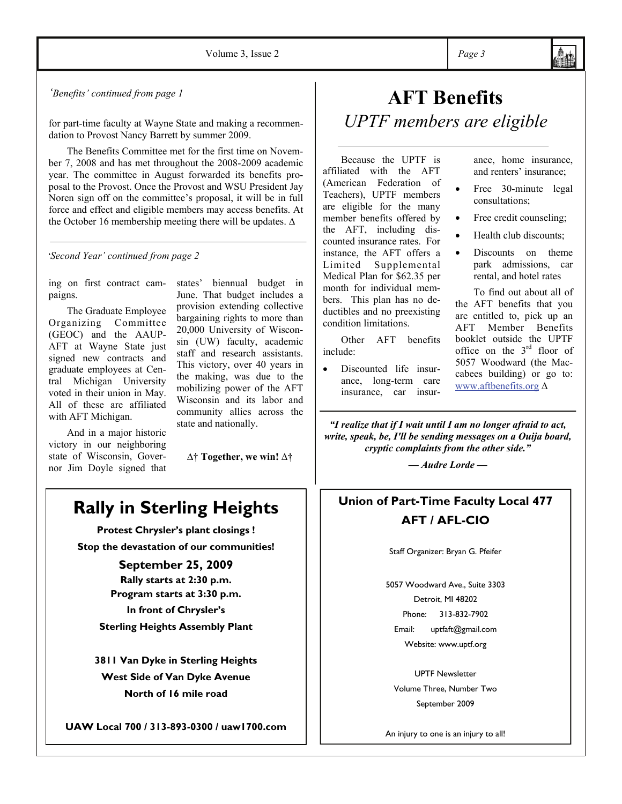*'Benefits' continued from page 1*

for part-time faculty at Wayne State and making a recommendation to Provost Nancy Barrett by summer 2009.

 The Benefits Committee met for the first time on November 7, 2008 and has met throughout the 2008-2009 academic year. The committee in August forwarded its benefits proposal to the Provost. Once the Provost and WSU President Jay Noren sign off on the committee's proposal, it will be in full force and effect and eligible members may access benefits. At the October 16 membership meeting there will be updates. ∆

'*Second Year' continued from page 2*

ing on first contract campaigns.

 The Graduate Employee Organizing Committee (GEOC) and the AAUP-AFT at Wayne State just signed new contracts and graduate employees at Central Michigan University voted in their union in May. All of these are affiliated with AFT Michigan.

 And in a major historic victory in our neighboring state of Wisconsin, Governor Jim Doyle signed that states' biennual budget in June. That budget includes a provision extending collective bargaining rights to more than 20,000 University of Wisconsin (UW) faculty, academic staff and research assistants. This victory, over 40 years in the making, was due to the mobilizing power of the AFT Wisconsin and its labor and community allies across the state and nationally.

∆† **Together, we win! ∆†** 

# **Rally in Sterling Heights**

**Protest Chrysler's plant closings ! Stop the devastation of our communities!** 

> **September 25, 2009 Rally starts at 2:30 p.m. Program starts at 3:30 p.m. In front of Chrysler's**

**Sterling Heights Assembly Plant** 

**3811 Van Dyke in Sterling Heights West Side of Van Dyke Avenue North of 16 mile road** 

**UAW Local 700 / 313-893-0300 / uaw1700.com** 

# **AFT Benefits**  *UPTF members are eligible*

Because the UPTF is affiliated with the AFT (American Federation of Teachers), UPTF members are eligible for the many member benefits offered by the AFT, including discounted insurance rates. For instance, the AFT offers a Limited Supplemental Medical Plan for \$62.35 per month for individual members. This plan has no deductibles and no preexisting condition limitations.

 Other AFT benefits include:

Discounted life insurance, long-term care insurance, car insurance, home insurance, and renters' insurance;

- Free 30-minute legal consultations;
- Free credit counseling;
- Health club discounts;
- Discounts on theme park admissions, car rental, and hotel rates

 To find out about all of the AFT benefits that you are entitled to, pick up an AFT Member Benefits booklet outside the UPTF office on the  $3<sup>rd</sup>$  floor of 5057 Woodward (the Maccabees building) or go to: www.aftbenefits.org ∆

*"I realize that if I wait until I am no longer afraid to act, write, speak, be, I'll be sending messages on a Ouija board, cryptic complaints from the other side."* 

*— Audre Lorde —* 

### **Union of Part-Time Faculty Local 477 AFT / AFL-CIO**

Staff Organizer: Bryan G. Pfeifer

5057 Woodward Ave., Suite 3303 Detroit, MI 48202 Phone: 313-832-7902 Email: uptfaft@gmail.com Website: www.uptf.org

UPTF Newsletter Volume Three, Number Two September 2009

An injury to one is an injury to all!